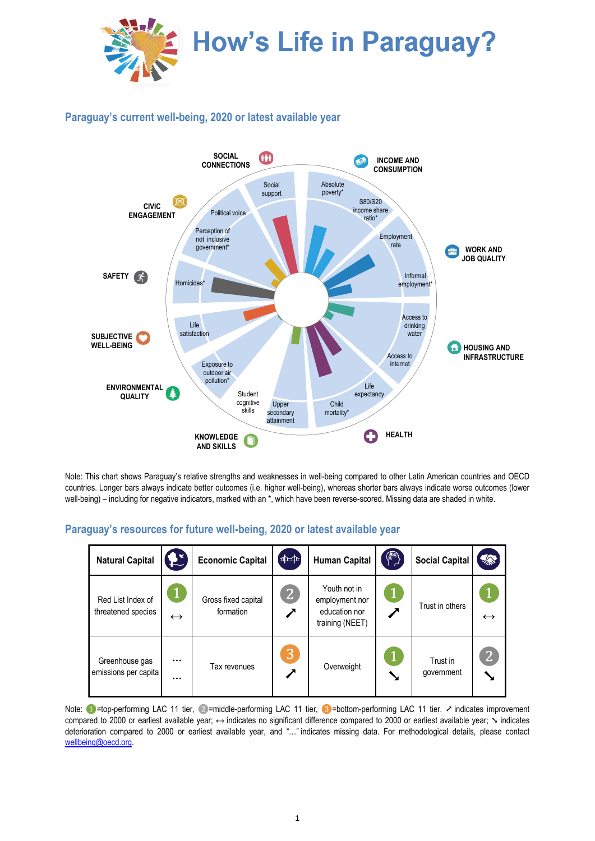

## **Paraguay's current well-being, 2020 or latest available year**



Note: This chart shows Paraguay's relative strengths and weaknesses in well-being compared to other Latin American countries and OECD countries. Longer bars always indicate better outcomes (i.e. higher well-being), whereas shorter bars always indicate worse outcomes (lower well-being) – including for negative indicators, marked with an \*, which have been reverse-scored. Missing data are shaded in white.

## **Paraguay's resources for future well-being, 2020 or latest available year**

| <b>Natural Capital</b>                  | $\mathbf{E}$         | <b>Economic Capital</b>          | $\left[\begin{smallmatrix} 1 & 0 \\ 0 & 1 \end{smallmatrix}\right]$ | <b>Human Capital</b>                                               | $\binom{2}{2}$ | <b>Social Capital</b>  | <b>ARCA</b>       |
|-----------------------------------------|----------------------|----------------------------------|---------------------------------------------------------------------|--------------------------------------------------------------------|----------------|------------------------|-------------------|
| Red List Index of<br>threatened species | $\leftrightarrow$    | Gross fixed capital<br>formation | $\mathbf{2}$                                                        | Youth not in<br>employment nor<br>education nor<br>training (NEET) |                | Trust in others        | $\leftrightarrow$ |
| Greenhouse gas<br>emissions per capita  | $\cdots$<br>$\cdots$ | Tax revenues                     | <u> 13</u>                                                          | Overweight                                                         |                | Trust in<br>government | $\overline{2}$    |

Note: ●=top-performing LAC 11 tier, ②=middle-performing LAC 11 tier, ③=bottom-performing LAC 11 tier. ↗ indicates improvement compared to 2000 or earliest available vear; ↔ indicates no significant difference compared to 2000 or earliest available vear;  $\sim$  indicates deterioration compared to 2000 or earliest available year, and "…" indicates missing data. For methodological details, please contact [wellbeing@oecd.org.](mailto:wellbeing@oecd.org)